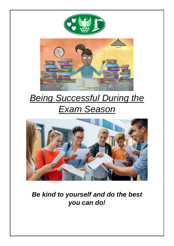

# *Being Successful During the Exam Season*



# *Be kind to yourself and do the best you can do!*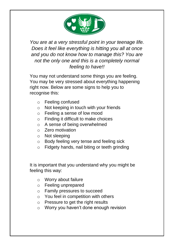

*You are at a very stressful point in your teenage life. Does it feel like everything is hitting you all at once and you do not know how to manage this? You are not the only one and this is a completely normal feeling to have!!*

You may not understand some things you are feeling. You may be very stressed about everything happening right now. Below are some signs to help you to recognise this:

- o Feeling confused
- o Not keeping in touch with your friends
- o Feeling a sense of low mood
- o Finding it difficult to make choices
- o A sense of being overwhelmed
- o Zero motivation
- o Not sleeping
- o Body feeling very tense and feeling sick
- o Fidgety hands, nail biting or teeth grinding

It is important that you understand why you might be feeling this way:

- o Worry about failure
- o Feeling unprepared
- o Family pressures to succeed
- o You feel in competition with others
- o Pressure to get the right results
- o Worry you haven't done enough revision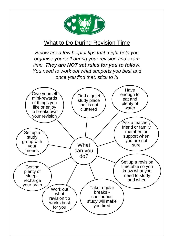

# What to Do During Revision Time

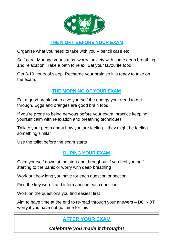

**THE NIGHT BEFORE YOUR EXAM**

Organise what you need to take with you – pencil case etc

Self-care: Manage your stress, worry, anxiety with some deep breathing and relaxation. Take a bath to relax. Eat your favourite food.

Get 8-10 hours of sleep. Recharge your brain so it is ready to take on the exam.

#### **THE MORNING OF YOUR EXAM**

Eat a good breakfast to give yourself the energy your need to get through. Eggs and oranges are good brain food!

If you're prone to being nervous before your exam, practice keeping yourself calm with relaxation and breathing techniques

Talk to your peers about how you are feeling – they might be feeling something similar

Use the toilet before the exam starts

#### **DURING YOUR EXAM**

Calm yourself down at the start and throughout if you feel yourself starting to the panic or worry with deep breathing

Work out how long you have for each question or section

Find the key words and information in each question

Work on the questions you find easiest first

Aim to have time at the end to re-read through your answers – DO NOT worry if you have not got time for this

## **AFTER YOUR EXAM**

*Celebrate you made it through!!*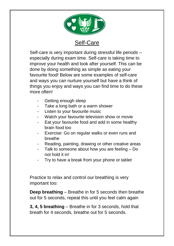

## Self-Care

Self-care is very important during stressful life periods – especially during exam time. Self-care is taking time to improve your health and look after yourself. This can be done by doing something as simple as eating your favourite food! Below are some examples of self-care and ways you can nurture yourself but have a think of things you enjoy and ways you can find time to do these more often!

- Getting enough sleep
- Take a long bath or a warm shower
- Listen to your favourite music
- Watch your favourite television show or movie
- Eat your favourite food and add in some healthy brain food too
- Exercise: Go on regular walks or even runs and breathe
- Reading, painting, drawing or other creative areas
- Talk to someone about how you are feeling Do not hold it in!
- Try to have a break from your phone or tablet

Practice to relax and control our breathing is very important too:

**Deep breathing** – Breathe in for 5 seconds then breathe out for 5 seconds, repeat this until you feel calm again

**3, 4, 5 breathing** – Breathe in for 3 seconds, hold that breath for 4 seconds, breathe out for 5 seconds.